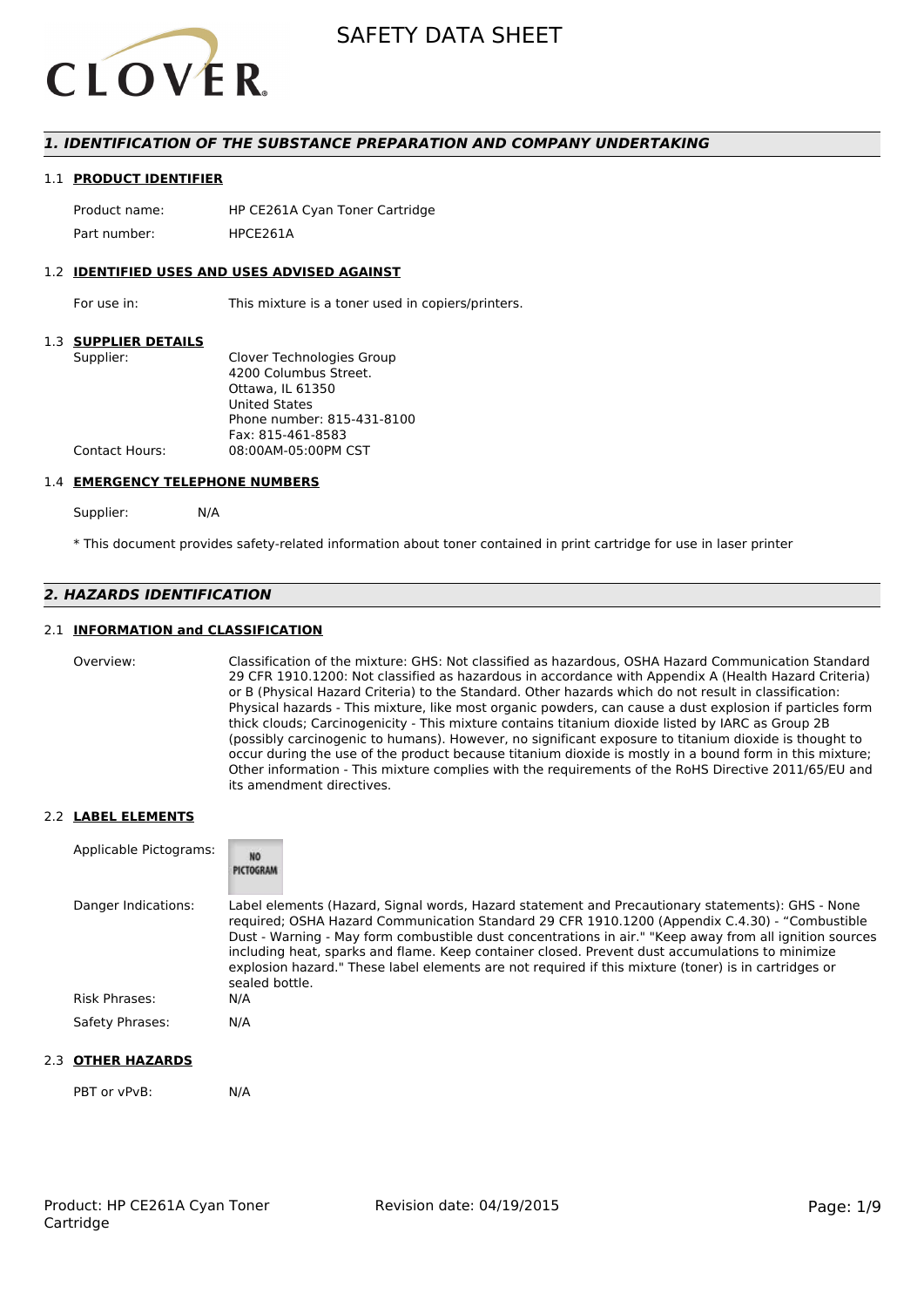

# *1. IDENTIFICATION OF THE SUBSTANCE PREPARATION AND COMPANY UNDERTAKING*

#### 1.1 **PRODUCT IDENTIFIER**

Product name: HP CE261A Cyan Toner Cartridge Part number: HPCE2614

#### 1.2 **IDENTIFIED USES AND USES ADVISED AGAINST**

For use in: This mixture is a toner used in copiers/printers.

#### 1.3 **SUPPLIER DETAILS**

| Supplier:             | Clover Technologies Group  |
|-----------------------|----------------------------|
|                       | 4200 Columbus Street.      |
|                       | Ottawa. IL 61350           |
|                       | <b>United States</b>       |
|                       | Phone number: 815-431-8100 |
|                       | Fax: 815-461-8583          |
| <b>Contact Hours:</b> | 08:00AM-05:00PM CST        |
|                       |                            |

#### 1.4 **EMERGENCY TELEPHONE NUMBERS**

Supplier: N/A

\* This document provides safety-related information about toner contained in print cartridge for use in laser printer

# *2. HAZARDS IDENTIFICATION*

### 2.1 **INFORMATION and CLASSIFICATION**

Overview: Classification of the mixture: GHS: Not classified as hazardous, OSHA Hazard Communication Standard 29 CFR 1910.1200: Not classified as hazardous in accordance with Appendix A (Health Hazard Criteria) or B (Physical Hazard Criteria) to the Standard. Other hazards which do not result in classification: Physical hazards - This mixture, like most organic powders, can cause a dust explosion if particles form thick clouds; Carcinogenicity - This mixture contains titanium dioxide listed by IARC as Group 2B (possibly carcinogenic to humans). However, no significant exposure to titanium dioxide is thought to occur during the use of the product because titanium dioxide is mostly in a bound form in this mixture; Other information - This mixture complies with the requirements of the RoHS Directive 2011/65/EU and its amendment directives.

#### 2.2 **LABEL ELEMENTS**

| Applicable Pictograms: | <b>NO</b><br>PICTOGRAM                                                                                                                                                                                                                                                                                                                                                                                                                                                                                                                     |
|------------------------|--------------------------------------------------------------------------------------------------------------------------------------------------------------------------------------------------------------------------------------------------------------------------------------------------------------------------------------------------------------------------------------------------------------------------------------------------------------------------------------------------------------------------------------------|
| Danger Indications:    | Label elements (Hazard, Signal words, Hazard statement and Precautionary statements): GHS - None<br>required; OSHA Hazard Communication Standard 29 CFR 1910.1200 (Appendix C.4.30) - "Combustible<br>Dust - Warning - May form combustible dust concentrations in air." "Keep away from all ignition sources<br>including heat, sparks and flame. Keep container closed. Prevent dust accumulations to minimize<br>explosion hazard." These label elements are not required if this mixture (toner) is in cartridges or<br>sealed bottle. |
| Risk Phrases:          | N/A                                                                                                                                                                                                                                                                                                                                                                                                                                                                                                                                        |
| Safety Phrases:        | N/A                                                                                                                                                                                                                                                                                                                                                                                                                                                                                                                                        |

### 2.3 **OTHER HAZARDS**

PBT or vPvB: N/A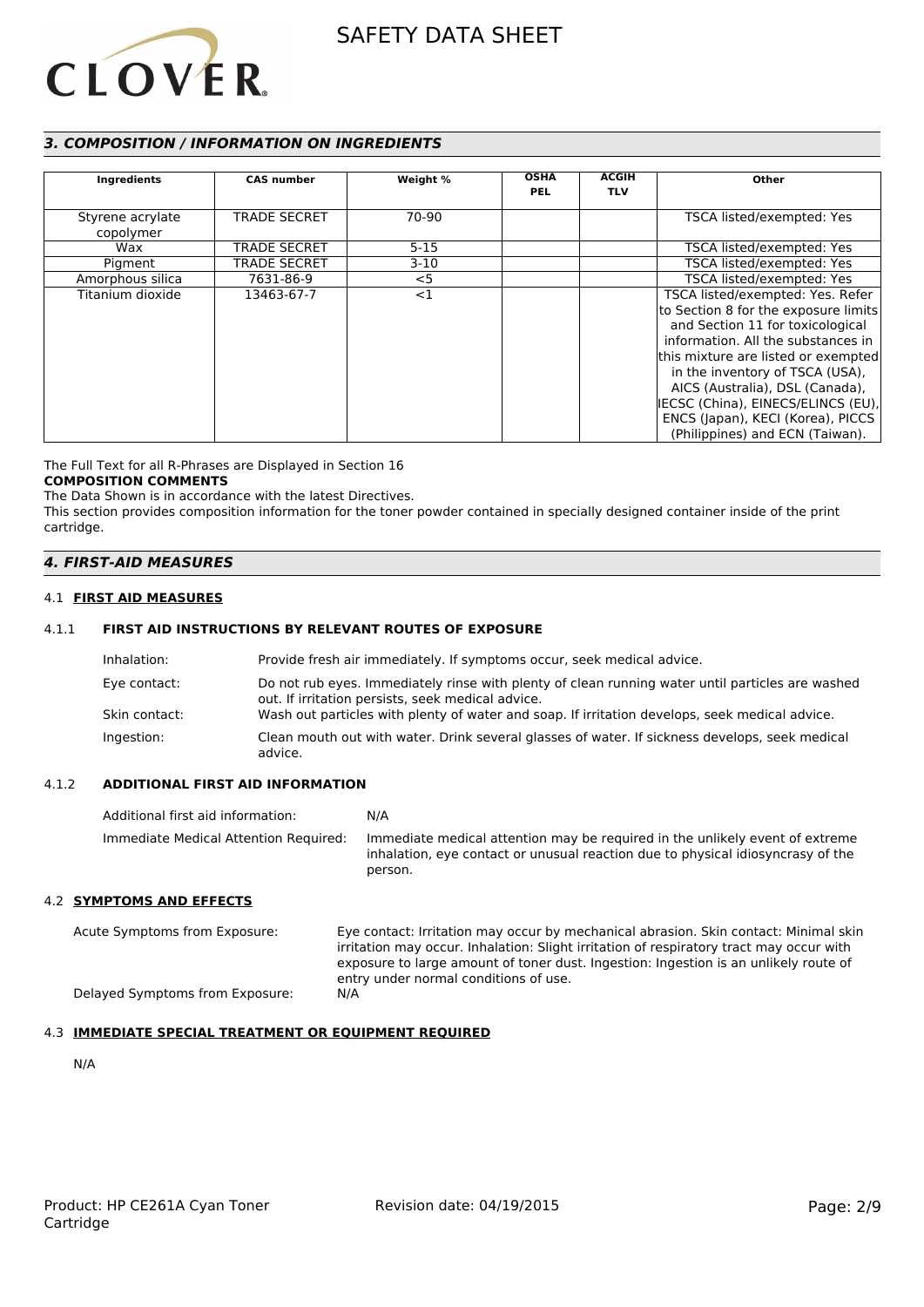

# *3. COMPOSITION / INFORMATION ON INGREDIENTS*

| Ingredients                   | <b>CAS number</b>   | Weight % | <b>OSHA</b><br><b>PEL</b> | <b>ACGIH</b><br><b>TLV</b> | Other                                                                                                                                                                                                                                                                                                                                                                         |
|-------------------------------|---------------------|----------|---------------------------|----------------------------|-------------------------------------------------------------------------------------------------------------------------------------------------------------------------------------------------------------------------------------------------------------------------------------------------------------------------------------------------------------------------------|
| Styrene acrylate<br>copolymer | <b>TRADE SECRET</b> | 70-90    |                           |                            | TSCA listed/exempted: Yes                                                                                                                                                                                                                                                                                                                                                     |
| Wax                           | <b>TRADE SECRET</b> | $5 - 15$ |                           |                            | TSCA listed/exempted: Yes                                                                                                                                                                                                                                                                                                                                                     |
| Pigment                       | <b>TRADE SECRET</b> | $3-10$   |                           |                            | TSCA listed/exempted: Yes                                                                                                                                                                                                                                                                                                                                                     |
| Amorphous silica              | 7631-86-9           | $<$ 5    |                           |                            | TSCA listed/exempted: Yes                                                                                                                                                                                                                                                                                                                                                     |
| Titanium dioxide              | 13463-67-7          | $<$ 1    |                           |                            | TSCA listed/exempted: Yes. Refer<br>to Section 8 for the exposure limits<br>and Section 11 for toxicological<br>information. All the substances in<br>this mixture are listed or exempted<br>in the inventory of TSCA (USA),<br>AICS (Australia), DSL (Canada),<br>IECSC (China), EINECS/ELINCS (EU),<br>ENCS (Japan), KECI (Korea), PICCS<br>(Philippines) and ECN (Taiwan). |

The Full Text for all R-Phrases are Displayed in Section 16

# **COMPOSITION COMMENTS**

The Data Shown is in accordance with the latest Directives. This section provides composition information for the toner powder contained in specially designed container inside of the print cartridge.

### *4. FIRST-AID MEASURES*

#### 4.1 **FIRST AID MEASURES**

### 4.1.1 **FIRST AID INSTRUCTIONS BY RELEVANT ROUTES OF EXPOSURE**

| Inhalation:   | Provide fresh air immediately. If symptoms occur, seek medical advice.                                                                                |
|---------------|-------------------------------------------------------------------------------------------------------------------------------------------------------|
| Eye contact:  | Do not rub eyes. Immediately rinse with plenty of clean running water until particles are washed<br>out. If irritation persists, seek medical advice. |
| Skin contact: | Wash out particles with plenty of water and soap. If irritation develops, seek medical advice.                                                        |
| Ingestion:    | Clean mouth out with water. Drink several glasses of water. If sickness develops, seek medical<br>advice.                                             |

#### 4.1.2 **ADDITIONAL FIRST AID INFORMATION**

| Additional first aid information:     | N/A                                                                                                                                                                        |
|---------------------------------------|----------------------------------------------------------------------------------------------------------------------------------------------------------------------------|
| Immediate Medical Attention Required: | Immediate medical attention may be required in the unlikely event of extreme<br>inhalation, eye contact or unusual reaction due to physical idiosyncrasy of the<br>person. |

#### 4.2 **SYMPTOMS AND EFFECTS**

Acute Symptoms from Exposure: Eye contact: Irritation may occur by mechanical abrasion. Skin contact: Minimal skin irritation may occur. Inhalation: Slight irritation of respiratory tract may occur with exposure to large amount of toner dust. Ingestion: Ingestion is an unlikely route of entry under normal conditions of use. Delayed Symptoms from Exposure: N/A

### 4.3 **IMMEDIATE SPECIAL TREATMENT OR EQUIPMENT REQUIRED**

N/A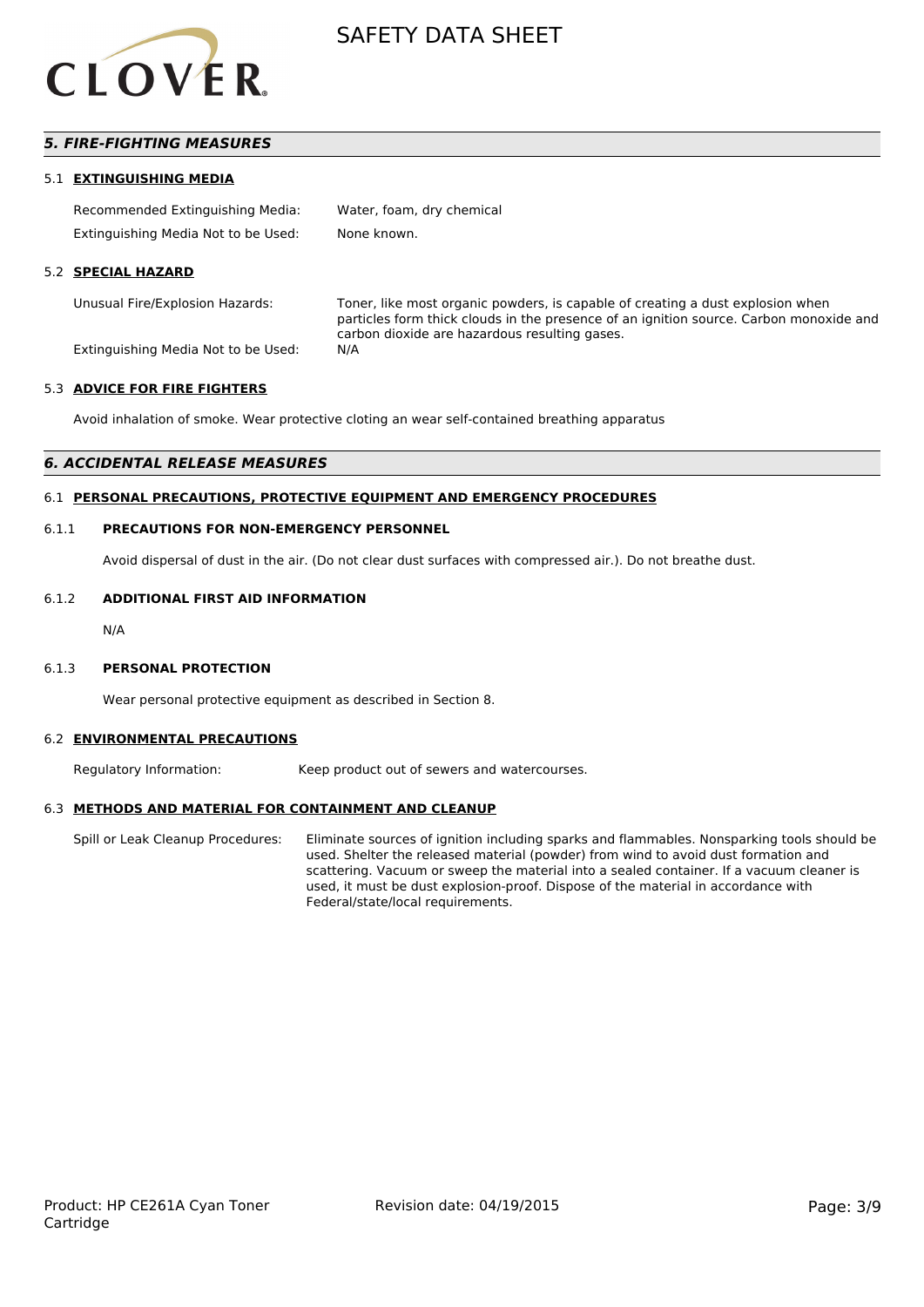

# *5. FIRE-FIGHTING MEASURES*

#### 5.1 **EXTINGUISHING MEDIA**

| Recommended Extinguishing Media:    | Water, foam, dry chemical |
|-------------------------------------|---------------------------|
| Extinguishing Media Not to be Used: | None known.               |

#### 5.2 **SPECIAL HAZARD**

Unusual Fire/Explosion Hazards: Toner, like most organic powders, is capable of creating a dust explosion when particles form thick clouds in the presence of an ignition source. Carbon monoxide and carbon dioxide are hazardous resulting gases.

Extinguishing Media Not to be Used: N/A

#### 5.3 **ADVICE FOR FIRE FIGHTERS**

Avoid inhalation of smoke. Wear protective cloting an wear self-contained breathing apparatus

#### *6. ACCIDENTAL RELEASE MEASURES*

#### 6.1 **PERSONAL PRECAUTIONS, PROTECTIVE EQUIPMENT AND EMERGENCY PROCEDURES**

#### 6.1.1 **PRECAUTIONS FOR NON-EMERGENCY PERSONNEL**

Avoid dispersal of dust in the air. (Do not clear dust surfaces with compressed air.). Do not breathe dust.

#### 6.1.2 **ADDITIONAL FIRST AID INFORMATION**

N/A

#### 6.1.3 **PERSONAL PROTECTION**

Wear personal protective equipment as described in Section 8.

#### 6.2 **ENVIRONMENTAL PRECAUTIONS**

Regulatory Information: Keep product out of sewers and watercourses.

#### 6.3 **METHODS AND MATERIAL FOR CONTAINMENT AND CLEANUP**

Spill or Leak Cleanup Procedures: Eliminate sources of ignition including sparks and flammables. Nonsparking tools should be used. Shelter the released material (powder) from wind to avoid dust formation and scattering. Vacuum or sweep the material into a sealed container. If a vacuum cleaner is used, it must be dust explosion-proof. Dispose of the material in accordance with Federal/state/local requirements.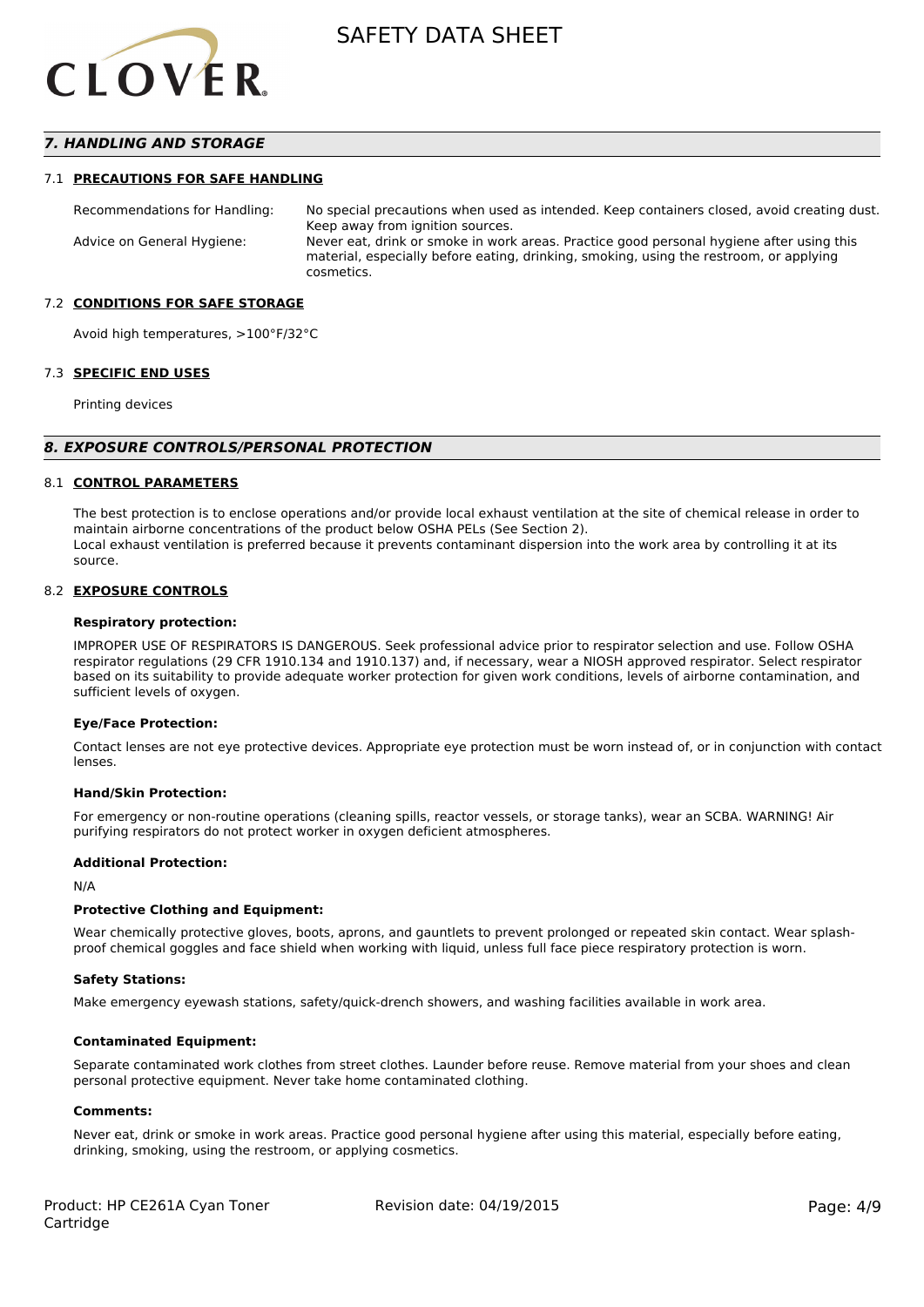

# *7. HANDLING AND STORAGE*

#### 7.1 **PRECAUTIONS FOR SAFE HANDLING**

Recommendations for Handling: No special precautions when used as intended. Keep containers closed, avoid creating dust. Keep away from ignition sources. Advice on General Hygiene: Never eat, drink or smoke in work areas. Practice good personal hygiene after using this material, especially before eating, drinking, smoking, using the restroom, or applying cosmetics.

#### 7.2 **CONDITIONS FOR SAFE STORAGE**

Avoid high temperatures, >100°F/32°C

#### 7.3 **SPECIFIC END USES**

Printing devices

#### *8. EXPOSURE CONTROLS/PERSONAL PROTECTION*

#### 8.1 **CONTROL PARAMETERS**

The best protection is to enclose operations and/or provide local exhaust ventilation at the site of chemical release in order to maintain airborne concentrations of the product below OSHA PELs (See Section 2). Local exhaust ventilation is preferred because it prevents contaminant dispersion into the work area by controlling it at its source.

#### 8.2 **EXPOSURE CONTROLS**

#### **Respiratory protection:**

IMPROPER USE OF RESPIRATORS IS DANGEROUS. Seek professional advice prior to respirator selection and use. Follow OSHA respirator regulations (29 CFR 1910.134 and 1910.137) and, if necessary, wear a NIOSH approved respirator. Select respirator based on its suitability to provide adequate worker protection for given work conditions, levels of airborne contamination, and sufficient levels of oxygen.

#### **Eye/Face Protection:**

Contact lenses are not eye protective devices. Appropriate eye protection must be worn instead of, or in conjunction with contact lenses.

#### **Hand/Skin Protection:**

For emergency or non-routine operations (cleaning spills, reactor vessels, or storage tanks), wear an SCBA. WARNING! Air purifying respirators do not protect worker in oxygen deficient atmospheres.

#### **Additional Protection:**

N/A

#### **Protective Clothing and Equipment:**

Wear chemically protective gloves, boots, aprons, and gauntlets to prevent prolonged or repeated skin contact. Wear splashproof chemical goggles and face shield when working with liquid, unless full face piece respiratory protection is worn.

#### **Safety Stations:**

Make emergency eyewash stations, safety/quick-drench showers, and washing facilities available in work area.

#### **Contaminated Equipment:**

Separate contaminated work clothes from street clothes. Launder before reuse. Remove material from your shoes and clean personal protective equipment. Never take home contaminated clothing.

#### **Comments:**

Never eat, drink or smoke in work areas. Practice good personal hygiene after using this material, especially before eating, drinking, smoking, using the restroom, or applying cosmetics.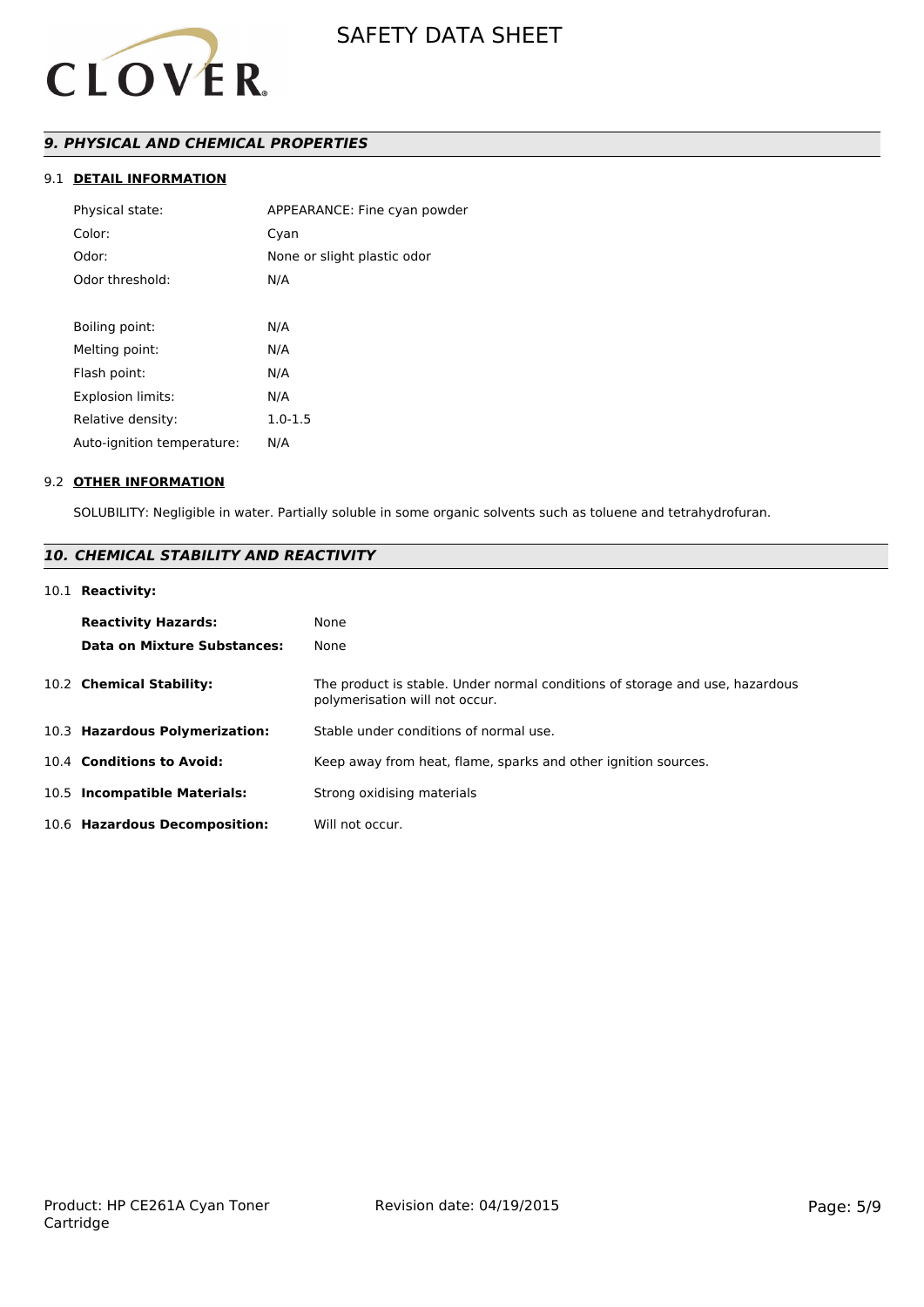

# *9. PHYSICAL AND CHEMICAL PROPERTIES*

# 9.1 **DETAIL INFORMATION**

| Physical state:            | APPEARANCE: Fine cyan powder |
|----------------------------|------------------------------|
| Color:                     | Cyan                         |
| Odor:                      | None or slight plastic odor  |
| Odor threshold:            | N/A                          |
|                            |                              |
| Boiling point:             | N/A                          |
| Melting point:             | N/A                          |
| Flash point:               | N/A                          |
| Explosion limits:          | N/A                          |
| Relative density:          | $1.0 - 1.5$                  |
| Auto-ignition temperature: | N/A                          |
|                            |                              |

#### 9.2 **OTHER INFORMATION**

SOLUBILITY: Negligible in water. Partially soluble in some organic solvents such as toluene and tetrahydrofuran.

# *10. CHEMICAL STABILITY AND REACTIVITY*

# 10.1 **Reactivity:**

| <b>Reactivity Hazards:</b><br><b>Data on Mixture Substances:</b> | None<br>None                                                                                                   |
|------------------------------------------------------------------|----------------------------------------------------------------------------------------------------------------|
| 10.2 Chemical Stability:                                         | The product is stable. Under normal conditions of storage and use, hazardous<br>polymerisation will not occur. |
| 10.3 Hazardous Polymerization:                                   | Stable under conditions of normal use.                                                                         |
| 10.4 Conditions to Avoid:                                        | Keep away from heat, flame, sparks and other ignition sources.                                                 |
| 10.5 Incompatible Materials:                                     | Strong oxidising materials                                                                                     |
| 10.6 Hazardous Decomposition:                                    | Will not occur.                                                                                                |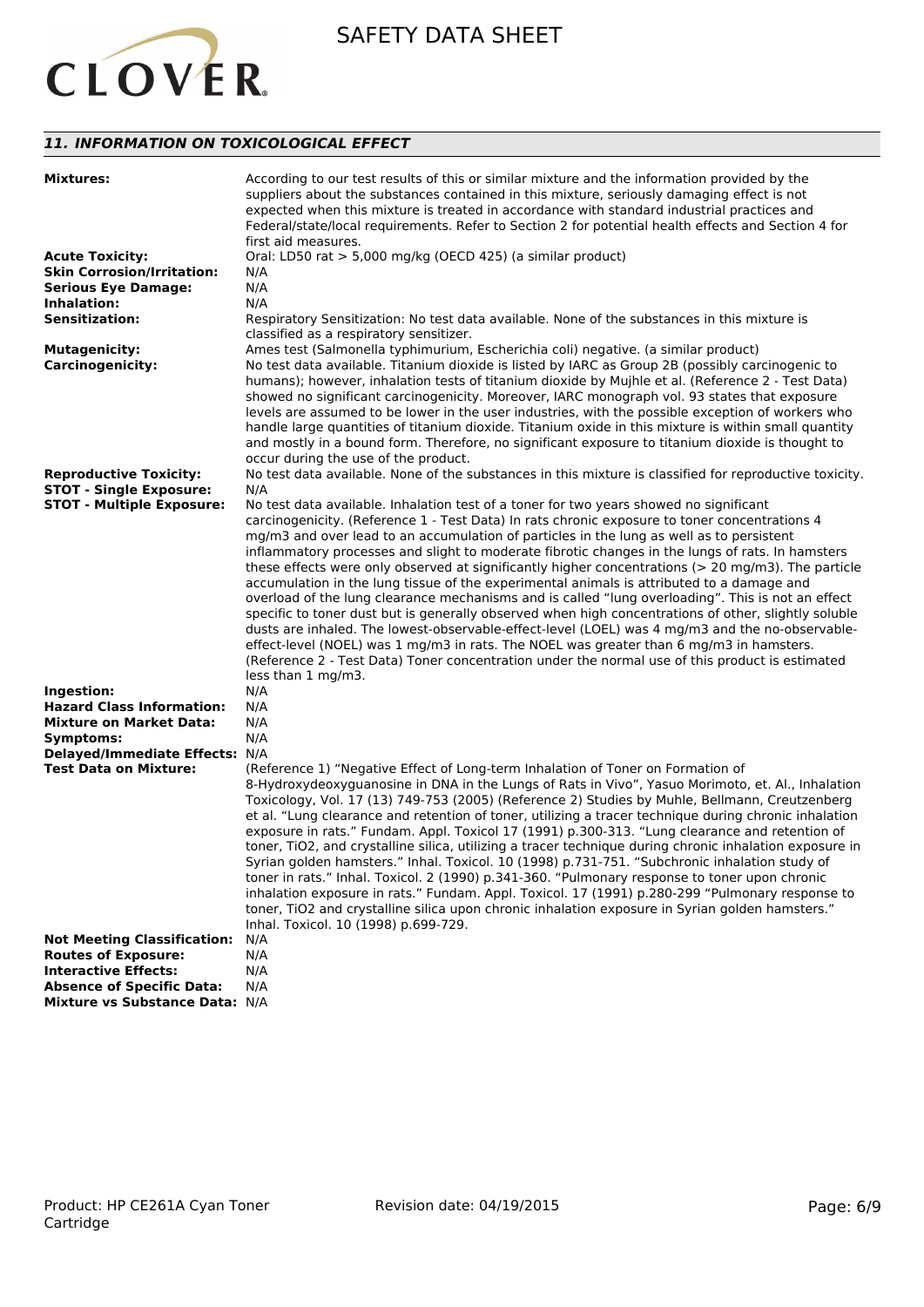

# *11. INFORMATION ON TOXICOLOGICAL EFFECT*

| <b>Mixtures:</b>                                               | According to our test results of this or similar mixture and the information provided by the<br>suppliers about the substances contained in this mixture, seriously damaging effect is not<br>expected when this mixture is treated in accordance with standard industrial practices and<br>Federal/state/local requirements. Refer to Section 2 for potential health effects and Section 4 for<br>first aid measures.                                                                                                                                                                                                                                                                                                                                                                                                                                                                                                                                                                                                                                       |
|----------------------------------------------------------------|--------------------------------------------------------------------------------------------------------------------------------------------------------------------------------------------------------------------------------------------------------------------------------------------------------------------------------------------------------------------------------------------------------------------------------------------------------------------------------------------------------------------------------------------------------------------------------------------------------------------------------------------------------------------------------------------------------------------------------------------------------------------------------------------------------------------------------------------------------------------------------------------------------------------------------------------------------------------------------------------------------------------------------------------------------------|
| <b>Acute Toxicity:</b>                                         | Oral: LD50 rat > 5,000 mg/kg (OECD 425) (a similar product)                                                                                                                                                                                                                                                                                                                                                                                                                                                                                                                                                                                                                                                                                                                                                                                                                                                                                                                                                                                                  |
| <b>Skin Corrosion/Irritation:</b>                              | N/A                                                                                                                                                                                                                                                                                                                                                                                                                                                                                                                                                                                                                                                                                                                                                                                                                                                                                                                                                                                                                                                          |
| <b>Serious Eye Damage:</b>                                     | N/A                                                                                                                                                                                                                                                                                                                                                                                                                                                                                                                                                                                                                                                                                                                                                                                                                                                                                                                                                                                                                                                          |
| Inhalation:                                                    | N/A                                                                                                                                                                                                                                                                                                                                                                                                                                                                                                                                                                                                                                                                                                                                                                                                                                                                                                                                                                                                                                                          |
| <b>Sensitization:</b>                                          |                                                                                                                                                                                                                                                                                                                                                                                                                                                                                                                                                                                                                                                                                                                                                                                                                                                                                                                                                                                                                                                              |
|                                                                | Respiratory Sensitization: No test data available. None of the substances in this mixture is<br>classified as a respiratory sensitizer.                                                                                                                                                                                                                                                                                                                                                                                                                                                                                                                                                                                                                                                                                                                                                                                                                                                                                                                      |
| <b>Mutagenicity:</b>                                           | Ames test (Salmonella typhimurium, Escherichia coli) negative. (a similar product)                                                                                                                                                                                                                                                                                                                                                                                                                                                                                                                                                                                                                                                                                                                                                                                                                                                                                                                                                                           |
| <b>Carcinogenicity:</b>                                        | No test data available. Titanium dioxide is listed by IARC as Group 2B (possibly carcinogenic to<br>humans); however, inhalation tests of titanium dioxide by Mujhle et al. (Reference 2 - Test Data)<br>showed no significant carcinogenicity. Moreover, IARC monograph vol. 93 states that exposure<br>levels are assumed to be lower in the user industries, with the possible exception of workers who<br>handle large quantities of titanium dioxide. Titanium oxide in this mixture is within small quantity<br>and mostly in a bound form. Therefore, no significant exposure to titanium dioxide is thought to<br>occur during the use of the product.                                                                                                                                                                                                                                                                                                                                                                                               |
| <b>Reproductive Toxicity:</b>                                  | No test data available. None of the substances in this mixture is classified for reproductive toxicity.                                                                                                                                                                                                                                                                                                                                                                                                                                                                                                                                                                                                                                                                                                                                                                                                                                                                                                                                                      |
| <b>STOT - Single Exposure:</b>                                 | N/A                                                                                                                                                                                                                                                                                                                                                                                                                                                                                                                                                                                                                                                                                                                                                                                                                                                                                                                                                                                                                                                          |
| <b>STOT - Multiple Exposure:</b>                               | No test data available. Inhalation test of a toner for two years showed no significant                                                                                                                                                                                                                                                                                                                                                                                                                                                                                                                                                                                                                                                                                                                                                                                                                                                                                                                                                                       |
|                                                                | carcinogenicity. (Reference 1 - Test Data) In rats chronic exposure to toner concentrations 4<br>mg/m3 and over lead to an accumulation of particles in the lung as well as to persistent<br>inflammatory processes and slight to moderate fibrotic changes in the lungs of rats. In hamsters<br>these effects were only observed at significantly higher concentrations ( $> 20$ mg/m3). The particle<br>accumulation in the lung tissue of the experimental animals is attributed to a damage and<br>overload of the lung clearance mechanisms and is called "lung overloading". This is not an effect<br>specific to toner dust but is generally observed when high concentrations of other, slightly soluble<br>dusts are inhaled. The lowest-observable-effect-level (LOEL) was 4 mg/m3 and the no-observable-<br>effect-level (NOEL) was 1 mg/m3 in rats. The NOEL was greater than 6 mg/m3 in hamsters.<br>(Reference 2 - Test Data) Toner concentration under the normal use of this product is estimated<br>less than 1 mg/m3.                      |
| Ingestion:                                                     | N/A                                                                                                                                                                                                                                                                                                                                                                                                                                                                                                                                                                                                                                                                                                                                                                                                                                                                                                                                                                                                                                                          |
| <b>Hazard Class Information:</b>                               | N/A                                                                                                                                                                                                                                                                                                                                                                                                                                                                                                                                                                                                                                                                                                                                                                                                                                                                                                                                                                                                                                                          |
| <b>Mixture on Market Data:</b>                                 | N/A                                                                                                                                                                                                                                                                                                                                                                                                                                                                                                                                                                                                                                                                                                                                                                                                                                                                                                                                                                                                                                                          |
| Symptoms:                                                      | N/A                                                                                                                                                                                                                                                                                                                                                                                                                                                                                                                                                                                                                                                                                                                                                                                                                                                                                                                                                                                                                                                          |
| Delayed/Immediate Effects: N/A<br><b>Test Data on Mixture:</b> | (Reference 1) "Negative Effect of Long-term Inhalation of Toner on Formation of<br>8-Hydroxydeoxyguanosine in DNA in the Lungs of Rats in Vivo", Yasuo Morimoto, et. Al., Inhalation<br>Toxicology, Vol. 17 (13) 749-753 (2005) (Reference 2) Studies by Muhle, Bellmann, Creutzenberg<br>et al. "Lung clearance and retention of toner, utilizing a tracer technique during chronic inhalation<br>exposure in rats." Fundam. Appl. Toxicol 17 (1991) p.300-313. "Lung clearance and retention of<br>toner, TiO2, and crystalline silica, utilizing a tracer technique during chronic inhalation exposure in<br>Syrian golden hamsters." Inhal. Toxicol. 10 (1998) p.731-751. "Subchronic inhalation study of<br>toner in rats." Inhal. Toxicol. 2 (1990) p.341-360. "Pulmonary response to toner upon chronic<br>inhalation exposure in rats." Fundam. Appl. Toxicol. 17 (1991) p.280-299 "Pulmonary response to<br>toner, TiO2 and crystalline silica upon chronic inhalation exposure in Syrian golden hamsters."<br>Inhal. Toxicol. 10 (1998) p.699-729. |
| <b>Not Meeting Classification:</b>                             | N/A                                                                                                                                                                                                                                                                                                                                                                                                                                                                                                                                                                                                                                                                                                                                                                                                                                                                                                                                                                                                                                                          |
| <b>Routes of Exposure:</b>                                     | N/A                                                                                                                                                                                                                                                                                                                                                                                                                                                                                                                                                                                                                                                                                                                                                                                                                                                                                                                                                                                                                                                          |
| <b>Interactive Effects:</b>                                    | N/A                                                                                                                                                                                                                                                                                                                                                                                                                                                                                                                                                                                                                                                                                                                                                                                                                                                                                                                                                                                                                                                          |
| <b>Absence of Specific Data:</b>                               | N/A                                                                                                                                                                                                                                                                                                                                                                                                                                                                                                                                                                                                                                                                                                                                                                                                                                                                                                                                                                                                                                                          |
| Mixture vs Substance Data: N/A                                 |                                                                                                                                                                                                                                                                                                                                                                                                                                                                                                                                                                                                                                                                                                                                                                                                                                                                                                                                                                                                                                                              |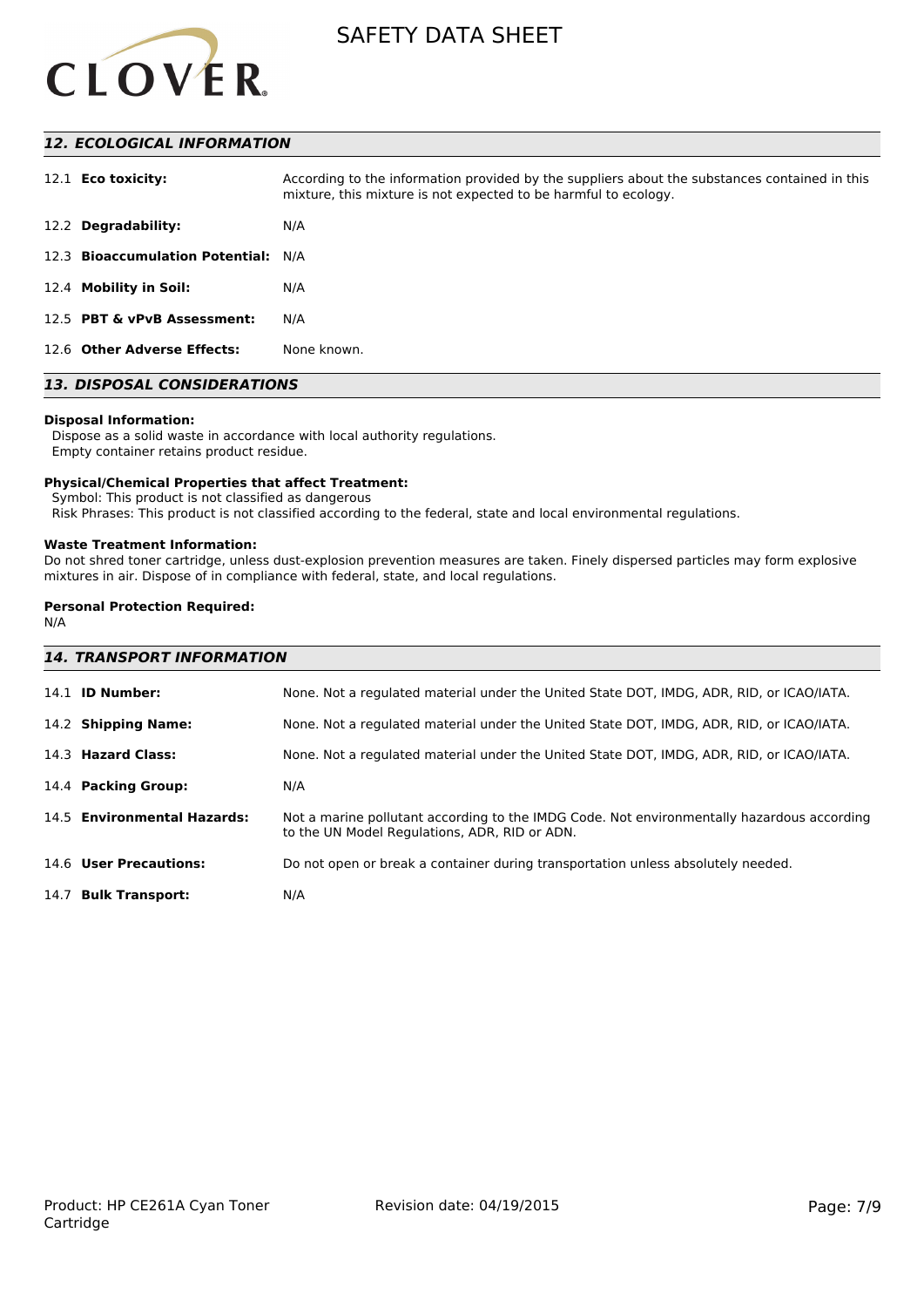

# *12. ECOLOGICAL INFORMATION*

| 12.1 <b>Eco toxicity:</b>           | According to the information provided by the suppliers about the substances contained in this<br>mixture, this mixture is not expected to be harmful to ecology. |
|-------------------------------------|------------------------------------------------------------------------------------------------------------------------------------------------------------------|
| 12.2 Degradability:                 | N/A                                                                                                                                                              |
| 12.3 Bioaccumulation Potential: N/A |                                                                                                                                                                  |
| 12.4 Mobility in Soil:              | N/A                                                                                                                                                              |
| 12.5 PBT & vPvB Assessment:         | N/A                                                                                                                                                              |
| 12.6 Other Adverse Effects:         | None known.                                                                                                                                                      |

# *13. DISPOSAL CONSIDERATIONS*

#### **Disposal Information:**

 Dispose as a solid waste in accordance with local authority regulations. Empty container retains product residue.

#### **Physical/Chemical Properties that affect Treatment:**

Symbol: This product is not classified as dangerous

Risk Phrases: This product is not classified according to the federal, state and local environmental regulations.

#### **Waste Treatment Information:**

Do not shred toner cartridge, unless dust-explosion prevention measures are taken. Finely dispersed particles may form explosive mixtures in air. Dispose of in compliance with federal, state, and local regulations.

# **Personal Protection Required:**

N/A

| <b>14. TRANSPORT INFORMATION</b> |                                                                                                                                             |  |
|----------------------------------|---------------------------------------------------------------------------------------------------------------------------------------------|--|
| 14.1 <b>ID Number:</b>           | None. Not a regulated material under the United State DOT, IMDG, ADR, RID, or ICAO/IATA.                                                    |  |
| 14.2 Shipping Name:              | None. Not a regulated material under the United State DOT, IMDG, ADR, RID, or ICAO/IATA.                                                    |  |
| 14.3 Hazard Class:               | None. Not a regulated material under the United State DOT, IMDG, ADR, RID, or ICAO/IATA.                                                    |  |
| 14.4 Packing Group:              | N/A                                                                                                                                         |  |
| 14.5 Environmental Hazards:      | Not a marine pollutant according to the IMDG Code. Not environmentally hazardous according<br>to the UN Model Regulations, ADR, RID or ADN. |  |
| 14.6 User Precautions:           | Do not open or break a container during transportation unless absolutely needed.                                                            |  |
| 14.7 Bulk Transport:             | N/A                                                                                                                                         |  |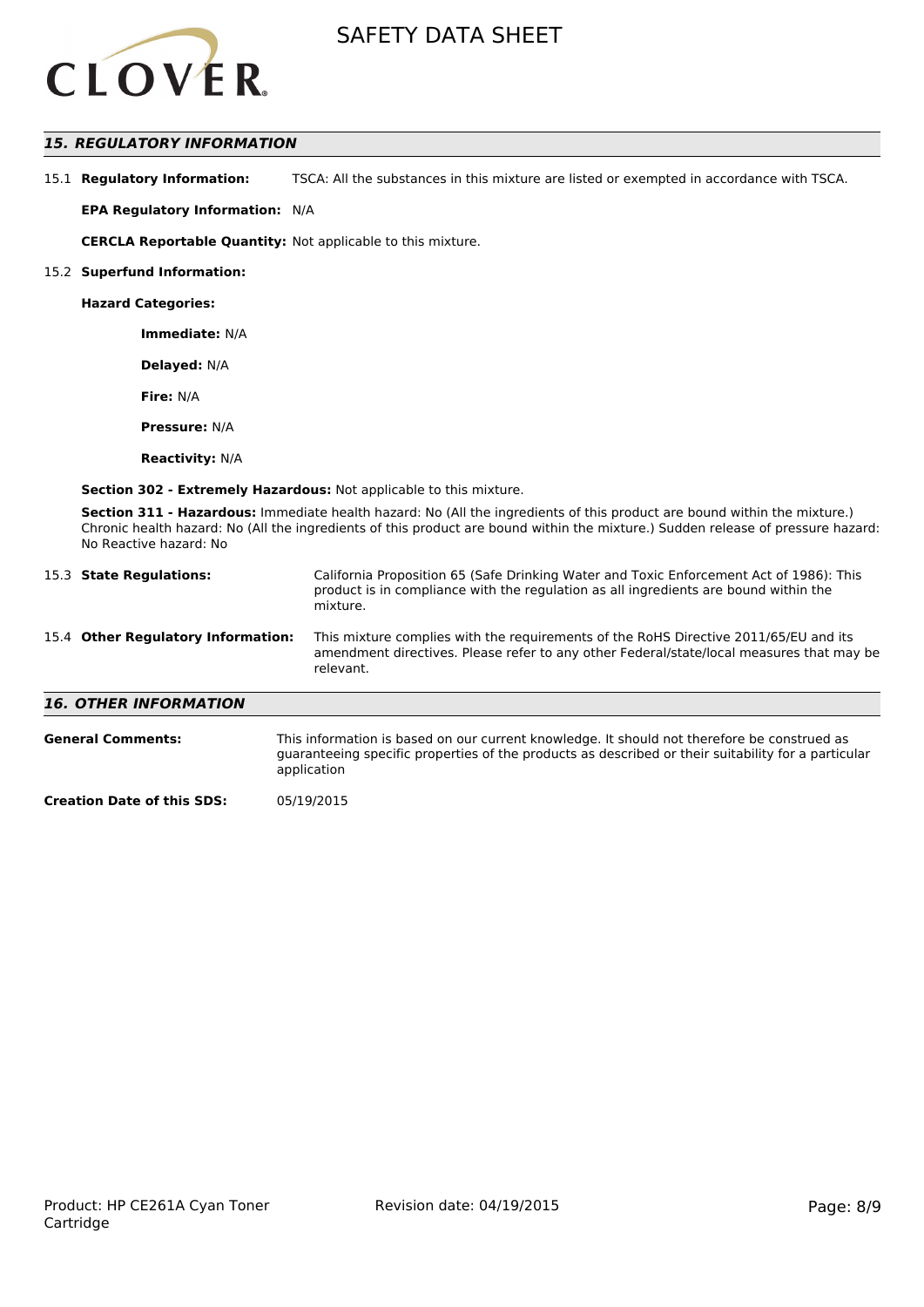

# *15. REGULATORY INFORMATION*

15.1 **Regulatory Information:** TSCA: All the substances in this mixture are listed or exempted in accordance with TSCA.

**EPA Regulatory Information:** N/A

**CERCLA Reportable Quantity:** Not applicable to this mixture.

#### 15.2 **Superfund Information:**

**Hazard Categories:**

**Immediate:** N/A

**Delayed:** N/A

**Fire:** N/A

**Pressure:** N/A

**Reactivity:** N/A

**Section 302 - Extremely Hazardous:** Not applicable to this mixture.

**Section 311 - Hazardous:** Immediate health hazard: No (All the ingredients of this product are bound within the mixture.) Chronic health hazard: No (All the ingredients of this product are bound within the mixture.) Sudden release of pressure hazard: No Reactive hazard: No

|                                    | 15.3 State Regulations:      | California Proposition 65 (Safe Drinking Water and Toxic Enforcement Act of 1986): This<br>product is in compliance with the regulation as all ingredients are bound within the<br>mixture.   |  |
|------------------------------------|------------------------------|-----------------------------------------------------------------------------------------------------------------------------------------------------------------------------------------------|--|
| 15.4 Other Regulatory Information: |                              | This mixture complies with the requirements of the RoHS Directive 2011/65/EU and its<br>amendment directives. Please refer to any other Federal/state/local measures that may be<br>relevant. |  |
|                                    | <b>16. OTHER INFORMATION</b> |                                                                                                                                                                                               |  |
|                                    | <b>General Comments:</b>     | This information is based on our current knowledge. It should not therefore be construed as                                                                                                   |  |

guaranteeing specific properties of the products as described or their suitability for a particular

application

**Creation Date of this SDS:** 05/19/2015